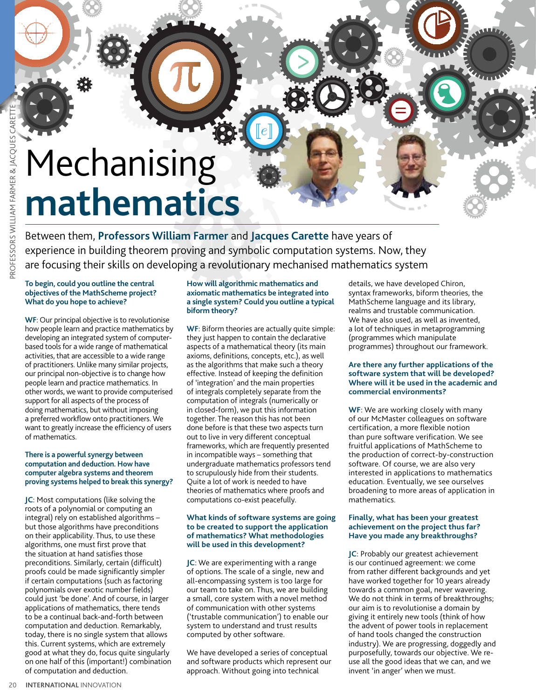# Mechanising **mathematics**

Between them, **Professors William Farmer** and **Jacques Carette** have years of experience in building theorem proving and symbolic computation systems. Now, they are focusing their skills on developing a revolutionary mechanised mathematics system

### **To begin, could you outline the central objectives of the MathScheme project? What do you hope to achieve?**

**WF**: Our principal objective is to revolutionise how people learn and practice mathematics by developing an integrated system of computerbased tools for a wide range of mathematical activities, that are accessible to a wide range of practitioners. Unlike many similar projects, our principal non-objective is to change how people learn and practice mathematics. In other words, we want to provide computerised support for all aspects of the process of doing mathematics, but without imposing a preferred workflow onto practitioners. We want to greatly increase the efficiency of users of mathematics.

### **There is a powerful synergy between computation and deduction. How have computer algebra systems and theorem proving systems helped to break this synergy?**

**JC**: Most computations (like solving the roots of a polynomial or computing an integral) rely on established algorithms – but those algorithms have preconditions on their applicability. Thus, to use these algorithms, one must first prove that the situation at hand satisfies those preconditions. Similarly, certain (difficult) proofs could be made significantly simpler if certain computations (such as factoring polynomials over exotic number fields) could just 'be done'. And of course, in larger applications of mathematics, there tends to be a continual back-and-forth between computation and deduction. Remarkably, today, there is no single system that allows this. Current systems, which are extremely good at what they do, focus quite singularly on one half of this (important!) combination of computation and deduction. **20 A Server Constrained Server Carettes Carettes William Farmer Server Professors William To begin, could you out to bjectives of the MathS What do you hope to activities, that are accessible begin, could you out to be a** 

# **How will algorithmic mathematics and axiomatic mathematics be integrated into a single system? Could you outline a typical biform theory?**

**WF**: Biform theories are actually quite simple: they just happen to contain the declarative aspects of a mathematical theory (its main axioms, definitions, concepts, etc.), as well as the algorithms that make such a theory effective. Instead of keeping the definition of 'integration' and the main properties of integrals completely separate from the computation of integrals (numerically or in closed-form), we put this information together. The reason this has not been done before is that these two aspects turn out to live in very different conceptual frameworks, which are frequently presented in incompatible ways – something that undergraduate mathematics professors tend to scrupulously hide from their students. Quite a lot of work is needed to have theories of mathematics where proofs and computations co-exist peacefully.

# **What kinds of software systems are going to be created to support the application of mathematics? What methodologies will be used in this development?**

**JC**: We are experimenting with a range of options. The scale of a single, new and all-encompassing system is too large for our team to take on. Thus, we are building a small, core system with a novel method of communication with other systems ('trustable communication') to enable our system to understand and trust results computed by other software.

We have developed a series of conceptual and software products which represent our approach. Without going into technical

details, we have developed Chiron, syntax frameworks, biform theories, the MathScheme language and its library, realms and trustable communication. We have also used, as well as invented, a lot of techniques in metaprogramming (programmes which manipulate programmes) throughout our framework.

# **Are there any further applications of the software system that will be developed? Where will it be used in the academic and commercial environments?**

**WF**: We are working closely with many of our McMaster colleagues on software certification, a more flexible notion than pure software verification. We see fruitful applications of MathScheme to the production of correct-by-construction software. Of course, we are also very interested in applications to mathematics education. Eventually, we see ourselves broadening to more areas of application in mathematics.

# **Finally, what has been your greatest achievement on the project thus far? Have you made any breakthroughs?**

**JC**: Probably our greatest achievement is our continued agreement: we come from rather different backgrounds and yet have worked together for 10 years already towards a common goal, never wavering. We do not think in terms of breakthroughs; our aim is to revolutionise a domain by giving it entirely new tools (think of how the advent of power tools in replacement of hand tools changed the construction industry). We are progressing, doggedly and purposefully, towards our objective. We reuse all the good ideas that we can, and we invent 'in anger' when we must.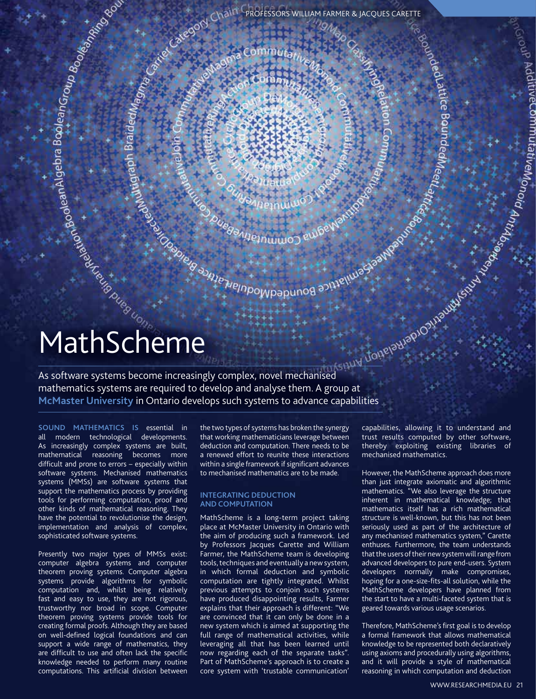Established Manufacture History Community of the Manufacture of the Manufacture of the Manufacture of the Manufacture of the Manufacture of the Manufacture of the Manufacture of the Manufacture of the Manufacture of the Ma

# **MathScheme**<br>
Although Contract Contract Contract Contract Contract Contract Contract Contract Contract Contract Contract Contract Contract Contract Contract Contract Contract Contract Contract Contract Contract Contract C

As software systems become increasingly complex, novel mechanised<br>
McMaster Using and analyse them A group at a system of the system and the systems are required to develop and analyse them A group at mathematics systems are required to develop and analyse them. A group at **McMaster University** in Ontario develops such systems to advance capabilities

**Sound mathematics is** essential in all modern technological developments. As increasingly complex systems are built, mathematical reasoning becomes more difficult and prone to errors – especially within software systems. Mechanised mathematics systems (MMSs) are software systems that support the mathematics process by providing tools for performing computation, proof and other kinds of mathematical reasoning. They have the potential to revolutionise the design, implementation and analysis of complex, sophisticated software systems.

Presently two major types of MMSs exist: computer algebra systems and computer theorem proving systems. Computer algebra systems provide algorithms for symbolic computation and, whilst being relatively fast and easy to use, they are not rigorous, trustworthy nor broad in scope. Computer theorem proving systems provide tools for creating formal proofs. Although they are based on well-defined logical foundations and can support a wide range of mathematics, they are difficult to use and often lack the specific knowledge needed to perform many routine computations. This artificial division between

the two types of systems has broken the synergy that working mathematicians leverage between deduction and computation. There needs to be a renewed effort to reunite these interactions within a single framework if significant advances to mechanised mathematics are to be made.

# **Integrating deduction and computation**

MathScheme is a long-term project taking place at McMaster University in Ontario with the aim of producing such a framework. Led by Professors Jacques Carette and William Farmer, the MathScheme team is developing tools, techniques and eventually a new system, in which formal deduction and symbolic computation are tightly integrated. Whilst previous attempts to conjoin such systems have produced disappointing results, Farmer explains that their approach is different: "We are convinced that it can only be done in a new system which is aimed at supporting the full range of mathematical activities, while leveraging all that has been learned until now regarding each of the separate tasks". Part of MathScheme's approach is to create a core system with 'trustable communication'

capabilities, allowing it to understand and trust results computed by other software, thereby exploiting existing libraries of mechanised mathematics.

Jeduatrice Bound

However, the MathScheme approach does more than just integrate axiomatic and algorithmic mathematics. "We also leverage the structure inherent in mathematical knowledge; that mathematics itself has a rich mathematical structure is well-known, but this has not been seriously used as part of the architecture of any mechanised mathematics system," Carette enthuses. Furthermore, the team understands that the users of their new system will range from advanced developers to pure end-users. System developers normally make compromises, hoping for a one-size-fits-all solution, while the MathScheme developers have planned from the start to have a multi-faceted system that is geared towards various usage scenarios.

Therefore, MathScheme's first goal is to develop a formal framework that allows mathematical knowledge to be represented both declaratively using axioms and procedurally using algorithms, and it will provide a style of mathematical reasoning in which computation and deduction